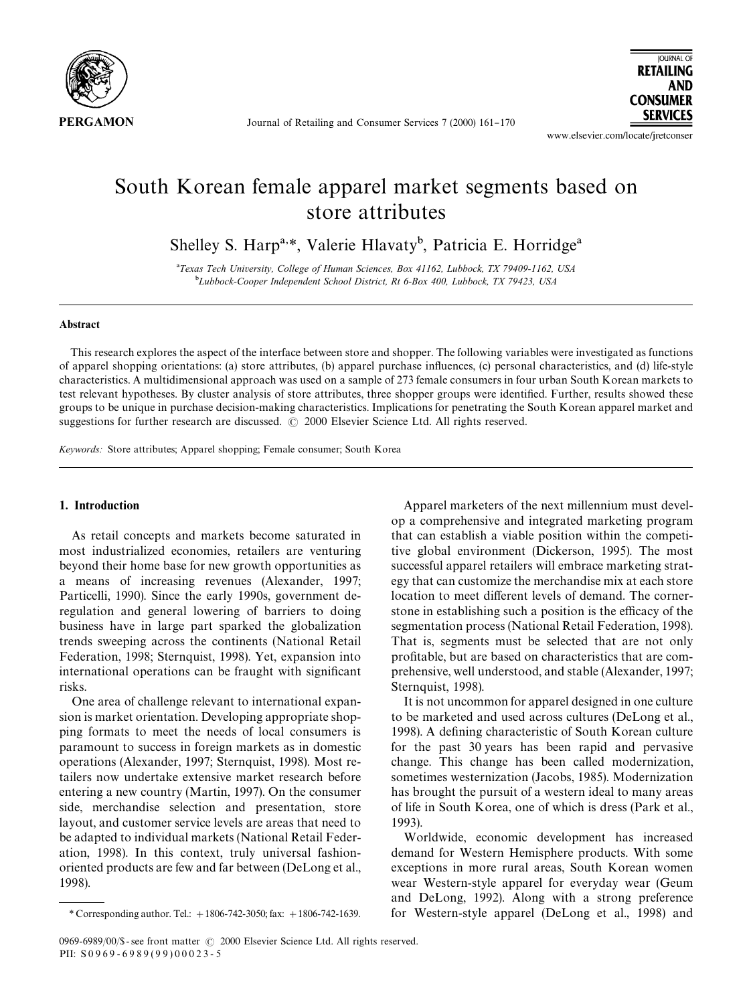

Journal of Retailing and Consumer Services 7 (2000) 161-170

**AND CONSUMER SERVICES** 

**JOURNAL OF RETAILING** 

www.elsevier.com/locate/jretconser

## South Korean female apparel market segments based on store attributes

Shelley S. Harp<sup>a,\*</sup>, Valerie Hlavaty<sup>b</sup>, Patricia E. Horridge<sup>a</sup>

!*Texas Tech University, College of Human Sciences, Box 41162, Lubbock, TX 79409-1162, USA* "*Lubbock-Cooper Independent School District, Rt 6-Box 400, Lubbock, TX 79423, USA*

### Abstract

This research explores the aspect of the interface between store and shopper. The following variables were investigated as functions of apparel shopping orientations: (a) store attributes, (b) apparel purchase in#uences, (c) personal characteristics, and (d) life-style characteristics. A multidimensional approach was used on a sample of 273 female consumers in four urban South Korean markets to test relevant hypotheses. By cluster analysis of store attributes, three shopper groups were identified. Further, results showed these groups to be unique in purchase decision-making characteristics. Implications for penetrating the South Korean apparel market and suggestions for further research are discussed.  $\oslash$  2000 Elsevier Science Ltd. All rights reserved.

*Keywords:* Store attributes; Apparel shopping; Female consumer; South Korea

## 1. Introduction

As retail concepts and markets become saturated in most industrialized economies, retailers are venturing beyond their home base for new growth opportunities as a means of increasing revenues (Alexander, 1997; Particelli, 1990). Since the early 1990s, government deregulation and general lowering of barriers to doing business have in large part sparked the globalization trends sweeping across the continents (National Retail Federation, 1998; Sternquist, 1998). Yet, expansion into international operations can be fraught with significant risks.

One area of challenge relevant to international expansion is market orientation. Developing appropriate shopping formats to meet the needs of local consumers is paramount to success in foreign markets as in domestic operations (Alexander, 1997; Sternquist, 1998). Most retailers now undertake extensive market research before entering a new country (Martin, 1997). On the consumer side, merchandise selection and presentation, store layout, and customer service levels are areas that need to be adapted to individual markets (National Retail Federation, 1998). In this context, truly universal fashionoriented products are few and far between (DeLong et al., 1998).

Apparel marketers of the next millennium must develop a comprehensive and integrated marketing program that can establish a viable position within the competitive global environment (Dickerson, 1995). The most successful apparel retailers will embrace marketing strategy that can customize the merchandise mix at each store location to meet different levels of demand. The cornerstone in establishing such a position is the efficacy of the segmentation process (National Retail Federation, 1998). That is, segments must be selected that are not only profitable, but are based on characteristics that are comprehensive, well understood, and stable (Alexander, 1997; Sternquist, 1998).

It is not uncommon for apparel designed in one culture to be marketed and used across cultures (DeLong et al., 1998). A defining characteristic of South Korean culture for the past 30 years has been rapid and pervasive change. This change has been called modernization, sometimes westernization (Jacobs, 1985). Modernization has brought the pursuit of a western ideal to many areas of life in South Korea, one of which is dress (Park et al., 1993).

Worldwide, economic development has increased demand for Western Hemisphere products. With some exceptions in more rural areas, South Korean women wear Western-style apparel for everyday wear (Geum and DeLong, 1992). Along with a strong preference for Western-style apparel (DeLong et al., 1998) and

*<sup>\*</sup>* Corresponding author. Tel.:#1806-742-3050; fax:#1806-742-1639.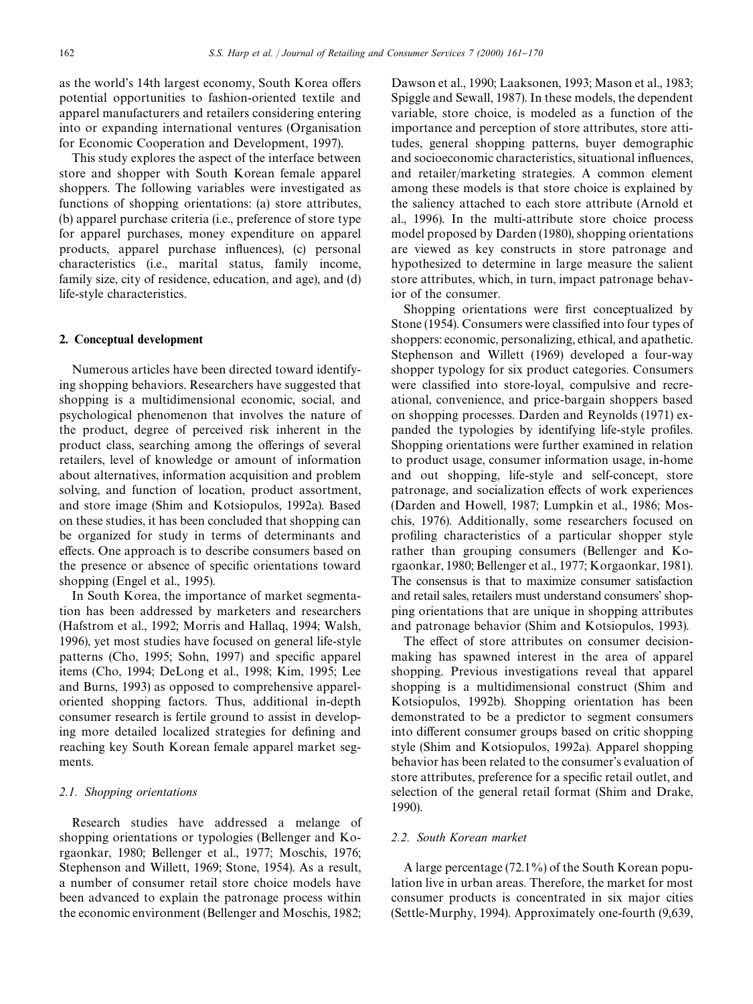as the world's 14th largest economy, South Korea offers potential opportunities to fashion-oriented textile and apparel manufacturers and retailers considering entering into or expanding international ventures (Organisation for Economic Cooperation and Development, 1997).

This study explores the aspect of the interface between store and shopper with South Korean female apparel shoppers. The following variables were investigated as functions of shopping orientations: (a) store attributes, (b) apparel purchase criteria (i.e., preference of store type for apparel purchases, money expenditure on apparel products, apparel purchase influences), (c) personal characteristics (i.e., marital status, family income, family size, city of residence, education, and age), and (d) life-style characteristics.

#### 2. Conceptual development

Numerous articles have been directed toward identifying shopping behaviors. Researchers have suggested that shopping is a multidimensional economic, social, and psychological phenomenon that involves the nature of the product, degree of perceived risk inherent in the product class, searching among the offerings of several retailers, level of knowledge or amount of information about alternatives, information acquisition and problem solving, and function of location, product assortment, and store image (Shim and Kotsiopulos, 1992a). Based on these studies, it has been concluded that shopping can be organized for study in terms of determinants and effects. One approach is to describe consumers based on the presence or absence of specific orientations toward shopping (Engel et al., 1995).

In South Korea, the importance of market segmentation has been addressed by marketers and researchers (Hafstrom et al., 1992; Morris and Hallaq, 1994; Walsh, 1996), yet most studies have focused on general life-style patterns (Cho, 1995; Sohn, 1997) and specific apparel items (Cho, 1994; DeLong et al., 1998; Kim, 1995; Lee and Burns, 1993) as opposed to comprehensive appareloriented shopping factors. Thus, additional in-depth consumer research is fertile ground to assist in developing more detailed localized strategies for defining and reaching key South Korean female apparel market segments.

#### *2.1. Shopping orientations*

Research studies have addressed a melange of shopping orientations or typologies (Bellenger and Korgaonkar, 1980; Bellenger et al., 1977; Moschis, 1976; Stephenson and Willett, 1969; Stone, 1954). As a result, a number of consumer retail store choice models have been advanced to explain the patronage process within the economic environment (Bellenger and Moschis, 1982;

Dawson et al., 1990; Laaksonen, 1993; Mason et al., 1983; Spiggle and Sewall, 1987). In these models, the dependent variable, store choice, is modeled as a function of the importance and perception of store attributes, store attitudes, general shopping patterns, buyer demographic and socioeconomic characteristics, situational influences, and retailer/marketing strategies. A common element among these models is that store choice is explained by the saliency attached to each store attribute (Arnold et al., 1996). In the multi-attribute store choice process model proposed by Darden (1980), shopping orientations are viewed as key constructs in store patronage and hypothesized to determine in large measure the salient store attributes, which, in turn, impact patronage behavior of the consumer.

Shopping orientations were first conceptualized by Stone (1954). Consumers were classified into four types of shoppers: economic, personalizing, ethical, and apathetic. Stephenson and Willett (1969) developed a four-way shopper typology for six product categories. Consumers were classified into store-loyal, compulsive and recreational, convenience, and price-bargain shoppers based on shopping processes. Darden and Reynolds (1971) expanded the typologies by identifying life-style profiles. Shopping orientations were further examined in relation to product usage, consumer information usage, in-home and out shopping, life-style and self-concept, store patronage, and socialization effects of work experiences (Darden and Howell, 1987; Lumpkin et al., 1986; Moschis, 1976). Additionally, some researchers focused on profiling characteristics of a particular shopper style rather than grouping consumers (Bellenger and Korgaonkar, 1980; Bellenger et al., 1977; Korgaonkar, 1981). The consensus is that to maximize consumer satisfaction and retail sales, retailers must understand consumers' shopping orientations that are unique in shopping attributes and patronage behavior (Shim and Kotsiopulos, 1993).

The effect of store attributes on consumer decisionmaking has spawned interest in the area of apparel shopping. Previous investigations reveal that apparel shopping is a multidimensional construct (Shim and Kotsiopulos, 1992b). Shopping orientation has been demonstrated to be a predictor to segment consumers into different consumer groups based on critic shopping style (Shim and Kotsiopulos, 1992a). Apparel shopping behavior has been related to the consumer's evaluation of store attributes, preference for a specific retail outlet, and selection of the general retail format (Shim and Drake, 1990).

### *2.2. South Korean market*

A large percentage (72.1%) of the South Korean population live in urban areas. Therefore, the market for most consumer products is concentrated in six major cities (Settle-Murphy, 1994). Approximately one-fourth (9,639,